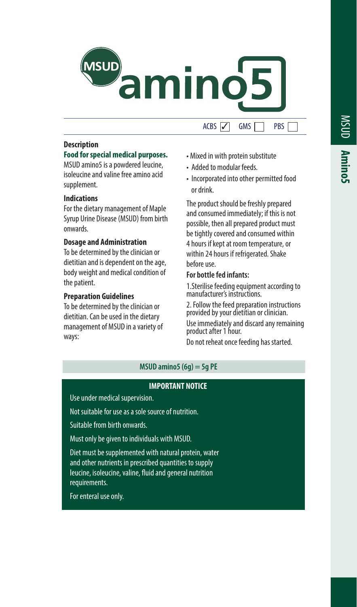

#### **Description**

# **Food for special medical purposes.**

MSUD amino5 is a powdered leucine, isoleucine and valine free amino acid supplement.

### **Indications**

For the dietary management of Maple Syrup Urine Disease (MSUD) from birth onwards.

#### **Dosage and Administration**

To be determined by the clinician or dietitian and is dependent on the age, body weight and medical condition of the patient.

#### **Preparation Guidelines**

To be determined by the clinician or dietitian. Can be used in the dietary management of MSUD in a variety of ways:

# $ACBS$   $\overline{V}$   $\overline{G}$  GMS  $\overline{)}$  PBS

- Mixed in with protein substitute
- Added to modular feeds.
- Incorporated into other permitted food or drink.

The product should be freshly prepared and consumed immediately; if this is not possible, then all prepared product must be tightly covered and consumed within 4 hours if kept at room temperature, or within 24 hours if refrigerated. Shake before use.

# **For bottle fed infants:**

1.Sterilise feeding equipment according to manufacturer's instructions.

2. Follow the feed preparation instructions provided by your dietitian or clinician.

Use immediately and discard any remaining product after 1 hour.

Do not reheat once feeding has started.

# **MSUD amino5 (6g) = 5g PE**

# **IMPORTANT NOTICE**

Use under medical supervision.

Not suitable for use as a sole source of nutrition.

Suitable from birth onwards.

Must only be given to individuals with MSUD.

Diet must be supplemented with natural protein, water and other nutrients in prescribed quantities to supply leucine, isoleucine, valine, fluid and general nutrition requirements.

For enteral use only.